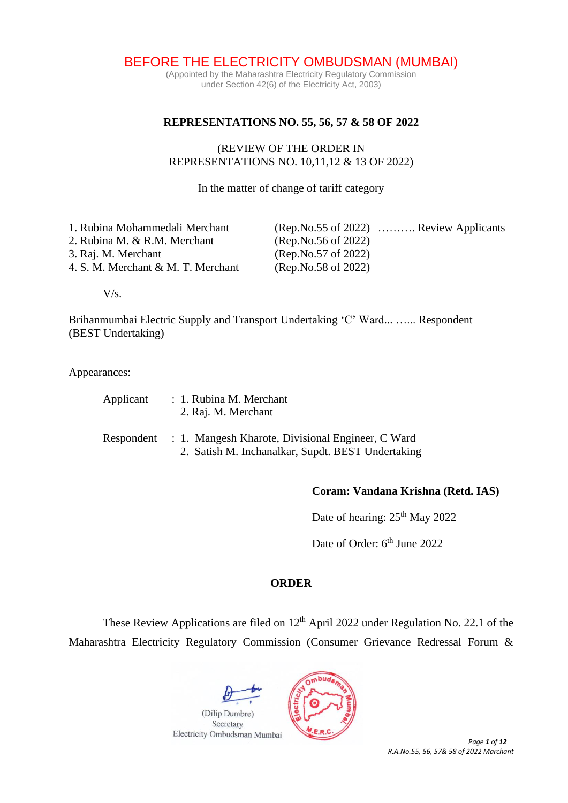BEFORE THE ELECTRICITY OMBUDSMAN (MUMBAI)

(Appointed by the Maharashtra Electricity Regulatory Commission under Section 42(6) of the Electricity Act, 2003)

#### **REPRESENTATIONS NO. 55, 56, 57 & 58 OF 2022**

### (REVIEW OF THE ORDER IN REPRESENTATIONS NO. 10,11,12 & 13 OF 2022)

In the matter of change of tariff category

| 1. Rubina Mohammedali Merchant     |                       | $(Rep No.55 of 2022)$ Review Applicants |
|------------------------------------|-----------------------|-----------------------------------------|
| 2. Rubina M. & R.M. Merchant       | (Rep. No. 56 of 2022) |                                         |
| 3. Raj. M. Merchant                | (Rep.No.57 of 2022)   |                                         |
| 4. S. M. Merchant & M. T. Merchant | (Rep.No.58 of 2022)   |                                         |
|                                    |                       |                                         |

V/s.

Brihanmumbai Electric Supply and Transport Undertaking 'C' Ward... …... Respondent (BEST Undertaking)

Appearances:

| Applicant | : 1. Rubina M. Merchant |
|-----------|-------------------------|
|           | 2. Raj. M. Merchant     |

| Respondent : 1. Mangesh Kharote, Divisional Engineer, C Ward |  |
|--------------------------------------------------------------|--|
| 2. Satish M. Inchanalkar, Supdt. BEST Undertaking            |  |

# **Coram: Vandana Krishna (Retd. IAS)**

Date of hearing: 25<sup>th</sup> May 2022

Date of Order: 6<sup>th</sup> June 2022

# **ORDER**

These Review Applications are filed on 12<sup>th</sup> April 2022 under Regulation No. 22.1 of the Maharashtra Electricity Regulatory Commission (Consumer Grievance Redressal Forum &



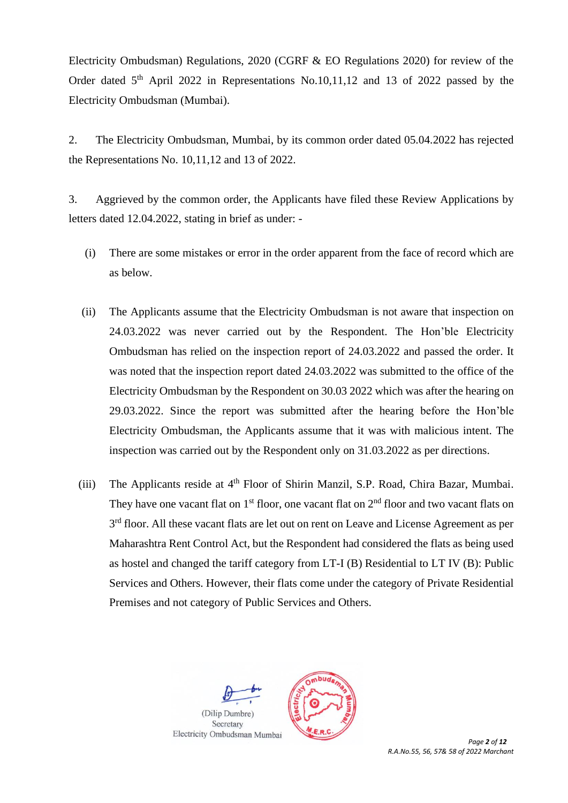Electricity Ombudsman) Regulations, 2020 (CGRF & EO Regulations 2020) for review of the Order dated  $5<sup>th</sup>$  April 2022 in Representations No.10,11,12 and 13 of 2022 passed by the Electricity Ombudsman (Mumbai).

2. The Electricity Ombudsman, Mumbai, by its common order dated 05.04.2022 has rejected the Representations No. 10,11,12 and 13 of 2022.

3. Aggrieved by the common order, the Applicants have filed these Review Applications by letters dated 12.04.2022, stating in brief as under: -

- (i) There are some mistakes or error in the order apparent from the face of record which are as below.
- (ii) The Applicants assume that the Electricity Ombudsman is not aware that inspection on 24.03.2022 was never carried out by the Respondent. The Hon'ble Electricity Ombudsman has relied on the inspection report of 24.03.2022 and passed the order. It was noted that the inspection report dated 24.03.2022 was submitted to the office of the Electricity Ombudsman by the Respondent on 30.03 2022 which was after the hearing on 29.03.2022. Since the report was submitted after the hearing before the Hon'ble Electricity Ombudsman, the Applicants assume that it was with malicious intent. The inspection was carried out by the Respondent only on 31.03.2022 as per directions.
- (iii) The Applicants reside at  $4<sup>th</sup>$  Floor of Shirin Manzil, S.P. Road, Chira Bazar, Mumbai. They have one vacant flat on  $1<sup>st</sup>$  floor, one vacant flat on  $2<sup>nd</sup>$  floor and two vacant flats on 3<sup>rd</sup> floor. All these vacant flats are let out on rent on Leave and License Agreement as per Maharashtra Rent Control Act, but the Respondent had considered the flats as being used as hostel and changed the tariff category from LT-I (B) Residential to LT IV (B): Public Services and Others. However, their flats come under the category of Private Residential Premises and not category of Public Services and Others.

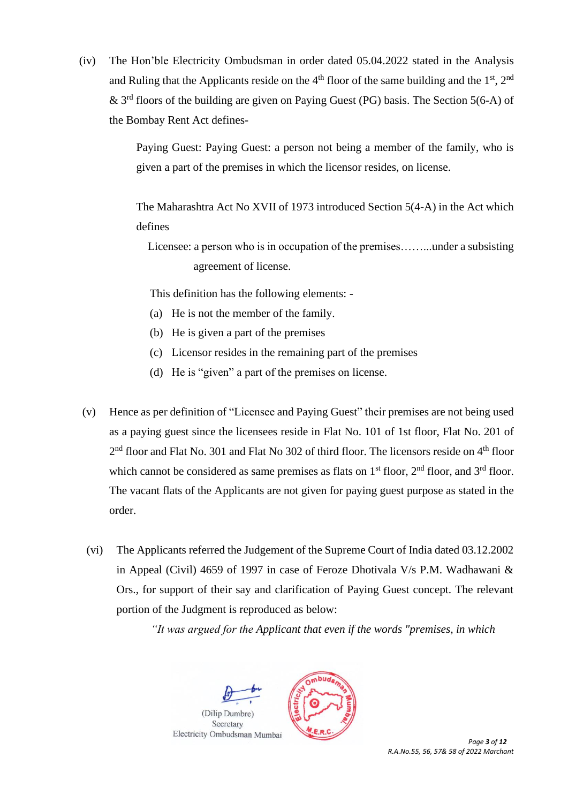(iv) The Hon'ble Electricity Ombudsman in order dated 05.04.2022 stated in the Analysis and Ruling that the Applicants reside on the  $4<sup>th</sup>$  floor of the same building and the  $1<sup>st</sup>$ ,  $2<sup>nd</sup>$ & 3<sup>rd</sup> floors of the building are given on Paying Guest (PG) basis. The Section 5(6-A) of the Bombay Rent Act defines-

> Paying Guest: Paying Guest: a person not being a member of the family, who is given a part of the premises in which the licensor resides, on license.

> The Maharashtra Act No XVII of 1973 introduced Section 5(4-A) in the Act which defines

 Licensee: a person who is in occupation of the premises……...under a subsisting agreement of license.

This definition has the following elements: -

- (a) He is not the member of the family.
- (b) He is given a part of the premises
- (c) Licensor resides in the remaining part of the premises
- (d) He is "given" a part of the premises on license.
- (v) Hence as per definition of "Licensee and Paying Guest" their premises are not being used as a paying guest since the licensees reside in Flat No. 101 of 1st floor, Flat No. 201 of 2<sup>nd</sup> floor and Flat No. 301 and Flat No 302 of third floor. The licensors reside on 4<sup>th</sup> floor which cannot be considered as same premises as flats on  $1<sup>st</sup>$  floor,  $2<sup>nd</sup>$  floor, and  $3<sup>rd</sup>$  floor. The vacant flats of the Applicants are not given for paying guest purpose as stated in the order.
- (vi) The Applicants referred the Judgement of the Supreme Court of India dated 03.12.2002 in Appeal (Civil) 4659 of 1997 in case of Feroze Dhotivala V/s P.M. Wadhawani & Ors., for support of their say and clarification of Paying Guest concept. The relevant portion of the Judgment is reproduced as below:

*"It was argued for the Applicant that even if the words "premises, in which*

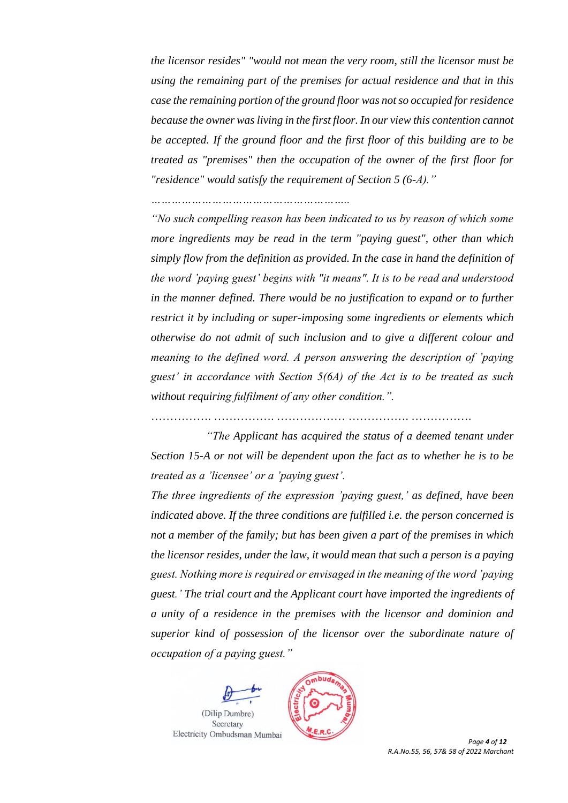*the licensor resides" "would not mean the very room, still the licensor must be using the remaining part of the premises for actual residence and that in this case the remaining portion of the ground floor was not so occupied for residence because the owner was living in the first floor. In our view this contention cannot be accepted. If the ground floor and the first floor of this building are to be treated as "premises" then the occupation of the owner of the first floor for "residence" would satisfy the requirement of Section 5 (6-A)."* 

*…………………………………………………..*

*"No such compelling reason has been indicated to us by reason of which some more ingredients may be read in the term "paying guest", other than which simply flow from the definition as provided. In the case in hand the definition of the word 'paying guest' begins with "it means". It is to be read and understood in the manner defined. There would be no justification to expand or to further restrict it by including or super-imposing some ingredients or elements which otherwise do not admit of such inclusion and to give a different colour and meaning to the defined word. A person answering the description of 'paying guest' in accordance with Section 5(6A) of the Act is to be treated as such without requiring fulfilment of any other condition.".*

……………. ……………. ……………… ……………. …………….

*"The Applicant has acquired the status of a deemed tenant under Section 15-A or not will be dependent upon the fact as to whether he is to be treated as a 'licensee' or a 'paying guest'.*

*The three ingredients of the expression 'paying guest,' as defined, have been indicated above. If the three conditions are fulfilled i.e. the person concerned is not a member of the family; but has been given a part of the premises in which the licensor resides, under the law, it would mean that such a person is a paying guest. Nothing more is required or envisaged in the meaning of the word 'paying guest.' The trial court and the Applicant court have imported the ingredients of a unity of a residence in the premises with the licensor and dominion and superior kind of possession of the licensor over the subordinate nature of occupation of a paying guest."*

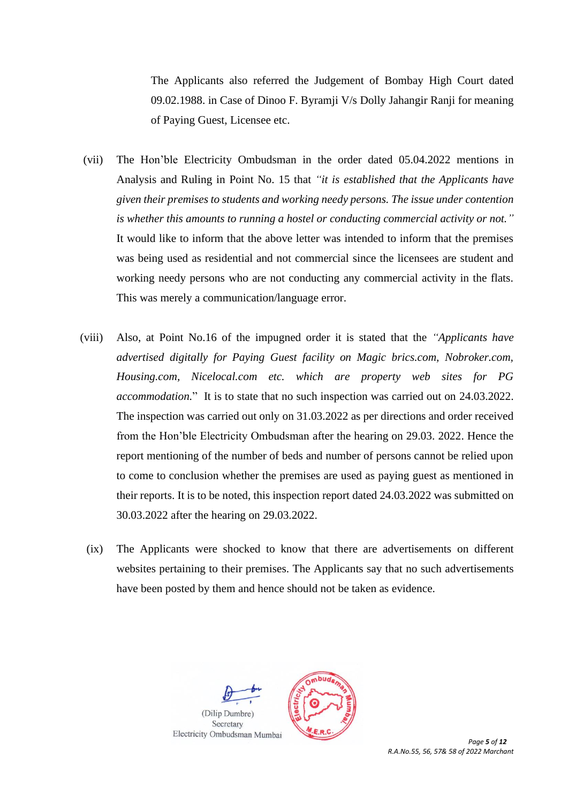The Applicants also referred the Judgement of Bombay High Court dated 09.02.1988. in Case of Dinoo F. Byramji V/s Dolly Jahangir Ranji for meaning of Paying Guest, Licensee etc.

- (vii) The Hon'ble Electricity Ombudsman in the order dated 05.04.2022 mentions in Analysis and Ruling in Point No. 15 that *"it is established that the Applicants have given their premises to students and working needy persons. The issue under contention is whether this amounts to running a hostel or conducting commercial activity or not."* It would like to inform that the above letter was intended to inform that the premises was being used as residential and not commercial since the licensees are student and working needy persons who are not conducting any commercial activity in the flats. This was merely a communication/language error.
- (viii) Also, at Point No.16 of the impugned order it is stated that the *"Applicants have advertised digitally for Paying Guest facility on Magic brics.com, Nobroker.com, Housing.com, Nicelocal.com etc. which are property web sites for PG accommodation.*" It is to state that no such inspection was carried out on 24.03.2022. The inspection was carried out only on 31.03.2022 as per directions and order received from the Hon'ble Electricity Ombudsman after the hearing on 29.03. 2022. Hence the report mentioning of the number of beds and number of persons cannot be relied upon to come to conclusion whether the premises are used as paying guest as mentioned in their reports. It is to be noted, this inspection report dated 24.03.2022 was submitted on 30.03.2022 after the hearing on 29.03.2022.
	- (ix) The Applicants were shocked to know that there are advertisements on different websites pertaining to their premises. The Applicants say that no such advertisements have been posted by them and hence should not be taken as evidence.



*R.A.No.55, 56, 57& 58 of 2022 Marchant*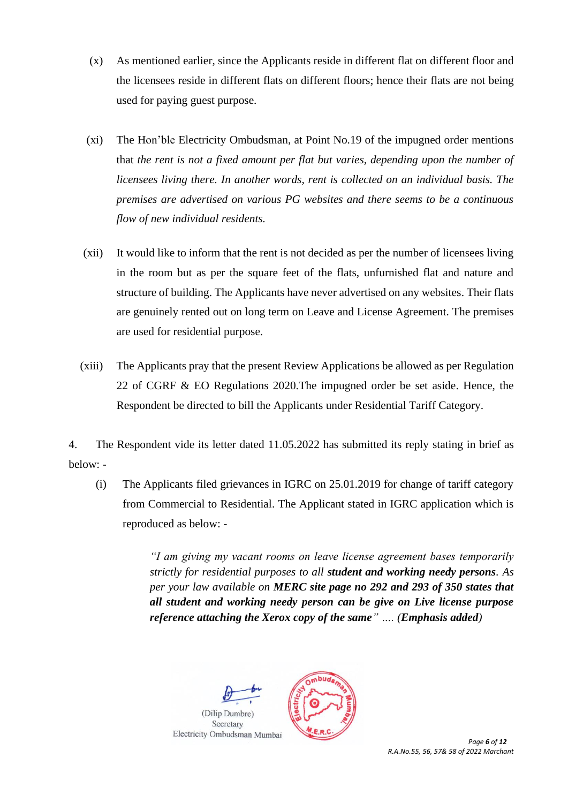- (x) As mentioned earlier, since the Applicants reside in different flat on different floor and the licensees reside in different flats on different floors; hence their flats are not being used for paying guest purpose.
- (xi) The Hon'ble Electricity Ombudsman, at Point No.19 of the impugned order mentions that *the rent is not a fixed amount per flat but varies, depending upon the number of licensees living there. In another words, rent is collected on an individual basis. The premises are advertised on various PG websites and there seems to be a continuous flow of new individual residents.*
- (xii) It would like to inform that the rent is not decided as per the number of licensees living in the room but as per the square feet of the flats, unfurnished flat and nature and structure of building. The Applicants have never advertised on any websites. Their flats are genuinely rented out on long term on Leave and License Agreement. The premises are used for residential purpose.
- (xiii) The Applicants pray that the present Review Applications be allowed as per Regulation 22 of CGRF & EO Regulations 2020.The impugned order be set aside. Hence, the Respondent be directed to bill the Applicants under Residential Tariff Category.

4. The Respondent vide its letter dated 11.05.2022 has submitted its reply stating in brief as below: -

(i) The Applicants filed grievances in IGRC on 25.01.2019 for change of tariff category from Commercial to Residential. The Applicant stated in IGRC application which is reproduced as below: -

> *"I am giving my vacant rooms on leave license agreement bases temporarily strictly for residential purposes to all student and working needy persons. As per your law available on MERC site page no 292 and 293 of 350 states that all student and working needy person can be give on Live license purpose reference attaching the Xerox copy of the same" …. (Emphasis added)*



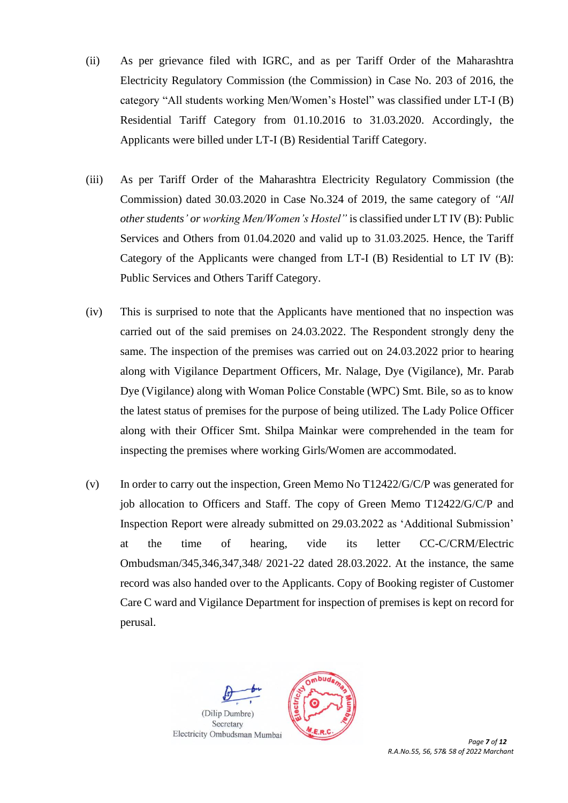- (ii) As per grievance filed with IGRC, and as per Tariff Order of the Maharashtra Electricity Regulatory Commission (the Commission) in Case No. 203 of 2016, the category "All students working Men/Women's Hostel" was classified under LT-I (B) Residential Tariff Category from 01.10.2016 to 31.03.2020. Accordingly, the Applicants were billed under LT-I (B) Residential Tariff Category.
- (iii) As per Tariff Order of the Maharashtra Electricity Regulatory Commission (the Commission) dated 30.03.2020 in Case No.324 of 2019, the same category of *"All other students' or working Men/Women's Hostel"* is classified under LT IV (B): Public Services and Others from 01.04.2020 and valid up to 31.03.2025. Hence, the Tariff Category of the Applicants were changed from LT-I (B) Residential to LT IV (B): Public Services and Others Tariff Category.
- (iv) This is surprised to note that the Applicants have mentioned that no inspection was carried out of the said premises on 24.03.2022. The Respondent strongly deny the same. The inspection of the premises was carried out on 24.03.2022 prior to hearing along with Vigilance Department Officers, Mr. Nalage, Dye (Vigilance), Mr. Parab Dye (Vigilance) along with Woman Police Constable (WPC) Smt. Bile, so as to know the latest status of premises for the purpose of being utilized. The Lady Police Officer along with their Officer Smt. Shilpa Mainkar were comprehended in the team for inspecting the premises where working Girls/Women are accommodated.
- (v) In order to carry out the inspection, Green Memo No T12422/G/C/P was generated for job allocation to Officers and Staff. The copy of Green Memo T12422/G/C/P and Inspection Report were already submitted on 29.03.2022 as 'Additional Submission' at the time of hearing, vide its letter CC-C/CRM/Electric Ombudsman/345,346,347,348/ 2021-22 dated 28.03.2022. At the instance, the same record was also handed over to the Applicants. Copy of Booking register of Customer Care C ward and Vigilance Department for inspection of premises is kept on record for perusal.



*R.A.No.55, 56, 57& 58 of 2022 Marchant*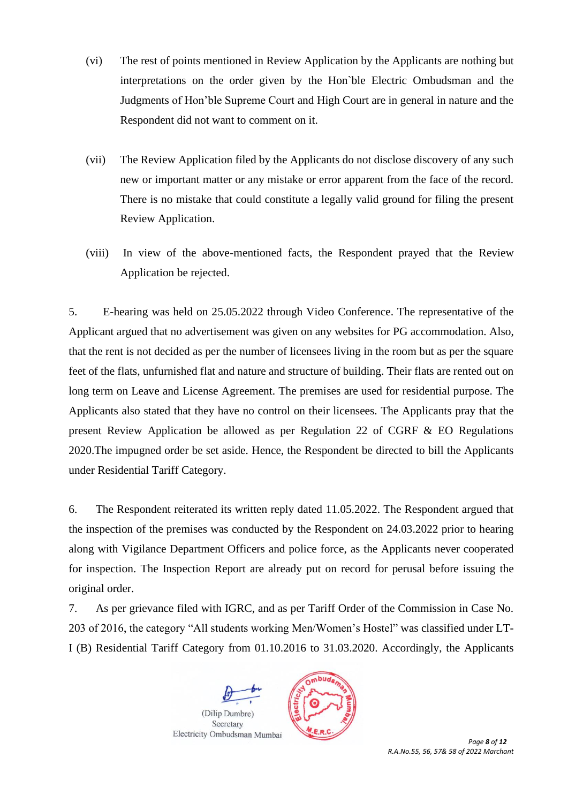- (vi) The rest of points mentioned in Review Application by the Applicants are nothing but interpretations on the order given by the Hon`ble Electric Ombudsman and the Judgments of Hon'ble Supreme Court and High Court are in general in nature and the Respondent did not want to comment on it.
- (vii) The Review Application filed by the Applicants do not disclose discovery of any such new or important matter or any mistake or error apparent from the face of the record. There is no mistake that could constitute a legally valid ground for filing the present Review Application.
- (viii) In view of the above-mentioned facts, the Respondent prayed that the Review Application be rejected.

5. E-hearing was held on 25.05.2022 through Video Conference. The representative of the Applicant argued that no advertisement was given on any websites for PG accommodation. Also, that the rent is not decided as per the number of licensees living in the room but as per the square feet of the flats, unfurnished flat and nature and structure of building. Their flats are rented out on long term on Leave and License Agreement. The premises are used for residential purpose. The Applicants also stated that they have no control on their licensees. The Applicants pray that the present Review Application be allowed as per Regulation 22 of CGRF & EO Regulations 2020.The impugned order be set aside. Hence, the Respondent be directed to bill the Applicants under Residential Tariff Category.

6. The Respondent reiterated its written reply dated 11.05.2022. The Respondent argued that the inspection of the premises was conducted by the Respondent on 24.03.2022 prior to hearing along with Vigilance Department Officers and police force, as the Applicants never cooperated for inspection. The Inspection Report are already put on record for perusal before issuing the original order.

7. As per grievance filed with IGRC, and as per Tariff Order of the Commission in Case No. 203 of 2016, the category "All students working Men/Women's Hostel" was classified under LT-I (B) Residential Tariff Category from 01.10.2016 to 31.03.2020. Accordingly, the Applicants





 *Page 8 of 12 R.A.No.55, 56, 57& 58 of 2022 Marchant*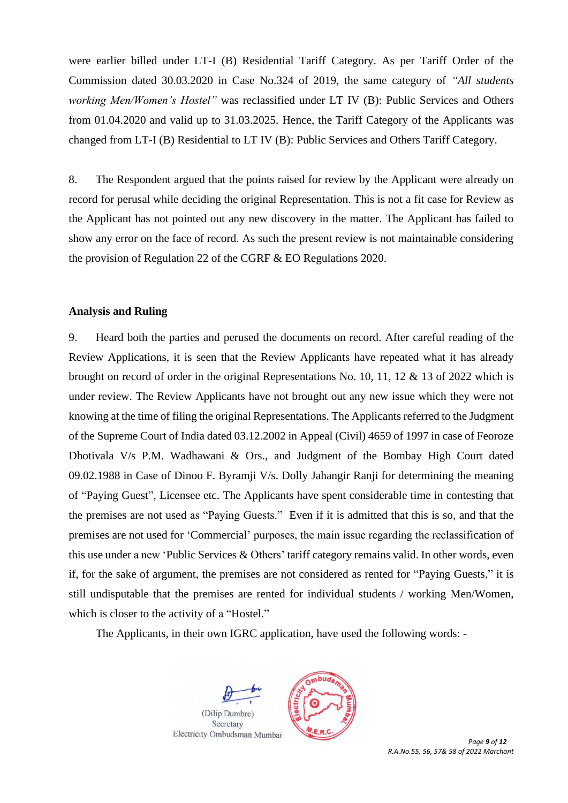were earlier billed under LT-I (B) Residential Tariff Category. As per Tariff Order of the Commission dated 30.03.2020 in Case No.324 of 2019, the same category of *"All students working Men/Women's Hostel"* was reclassified under LT IV (B): Public Services and Others from 01.04.2020 and valid up to 31.03.2025. Hence, the Tariff Category of the Applicants was changed from LT-I (B) Residential to LT IV (B): Public Services and Others Tariff Category.

8. The Respondent argued that the points raised for review by the Applicant were already on record for perusal while deciding the original Representation. This is not a fit case for Review as the Applicant has not pointed out any new discovery in the matter. The Applicant has failed to show any error on the face of record. As such the present review is not maintainable considering the provision of Regulation 22 of the CGRF & EO Regulations 2020.

#### **Analysis and Ruling**

9. Heard both the parties and perused the documents on record. After careful reading of the Review Applications, it is seen that the Review Applicants have repeated what it has already brought on record of order in the original Representations No. 10, 11, 12 & 13 of 2022 which is under review. The Review Applicants have not brought out any new issue which they were not knowing at the time of filing the original Representations. The Applicants referred to the Judgment of the Supreme Court of India dated 03.12.2002 in Appeal (Civil) 4659 of 1997 in case of Feoroze Dhotivala V/s P.M. Wadhawani & Ors., and Judgment of the Bombay High Court dated 09.02.1988 in Case of Dinoo F. Byramji V/s. Dolly Jahangir Ranji for determining the meaning of "Paying Guest", Licensee etc. The Applicants have spent considerable time in contesting that the premises are not used as "Paying Guests." Even if it is admitted that this is so, and that the premises are not used for 'Commercial' purposes, the main issue regarding the reclassification of this use under a new 'Public Services & Others' tariff category remains valid. In other words, even if, for the sake of argument, the premises are not considered as rented for "Paying Guests," it is still undisputable that the premises are rented for individual students / working Men/Women, which is closer to the activity of a "Hostel."

The Applicants, in their own IGRC application, have used the following words: -





 *Page 9 of 12 R.A.No.55, 56, 57& 58 of 2022 Marchant*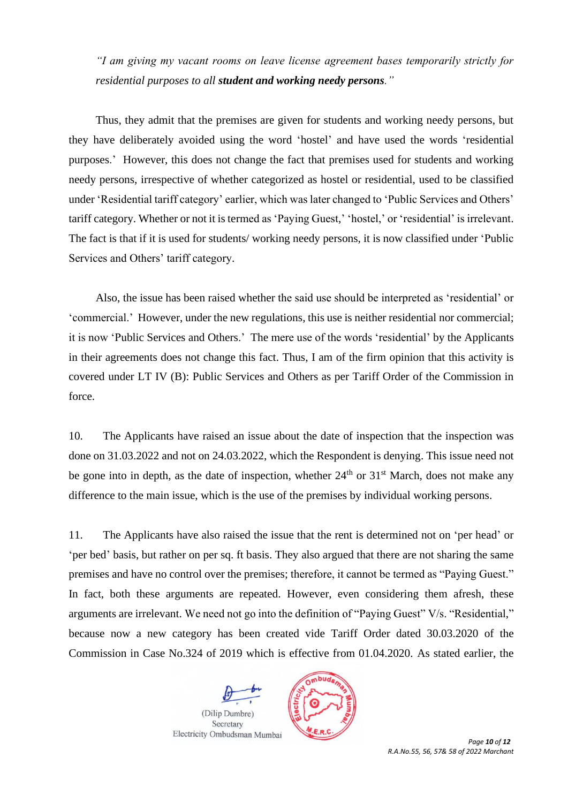*"I am giving my vacant rooms on leave license agreement bases temporarily strictly for residential purposes to all student and working needy persons."*

Thus, they admit that the premises are given for students and working needy persons, but they have deliberately avoided using the word 'hostel' and have used the words 'residential purposes.' However, this does not change the fact that premises used for students and working needy persons, irrespective of whether categorized as hostel or residential, used to be classified under 'Residential tariff category' earlier, which was later changed to 'Public Services and Others' tariff category. Whether or not it is termed as 'Paying Guest,' 'hostel,' or 'residential' is irrelevant. The fact is that if it is used for students/ working needy persons, it is now classified under 'Public Services and Others' tariff category.

Also, the issue has been raised whether the said use should be interpreted as 'residential' or 'commercial.' However, under the new regulations, this use is neither residential nor commercial; it is now 'Public Services and Others.' The mere use of the words 'residential' by the Applicants in their agreements does not change this fact. Thus, I am of the firm opinion that this activity is covered under LT IV (B): Public Services and Others as per Tariff Order of the Commission in force.

10. The Applicants have raised an issue about the date of inspection that the inspection was done on 31.03.2022 and not on 24.03.2022, which the Respondent is denying. This issue need not be gone into in depth, as the date of inspection, whether  $24<sup>th</sup>$  or  $31<sup>st</sup>$  March, does not make any difference to the main issue, which is the use of the premises by individual working persons.

11. The Applicants have also raised the issue that the rent is determined not on 'per head' or 'per bed' basis, but rather on per sq. ft basis. They also argued that there are not sharing the same premises and have no control over the premises; therefore, it cannot be termed as "Paying Guest." In fact, both these arguments are repeated. However, even considering them afresh, these arguments are irrelevant. We need not go into the definition of "Paying Guest" V/s. "Residential," because now a new category has been created vide Tariff Order dated 30.03.2020 of the Commission in Case No.324 of 2019 which is effective from 01.04.2020. As stated earlier, the





 *Page 10 of 12 R.A.No.55, 56, 57& 58 of 2022 Marchant*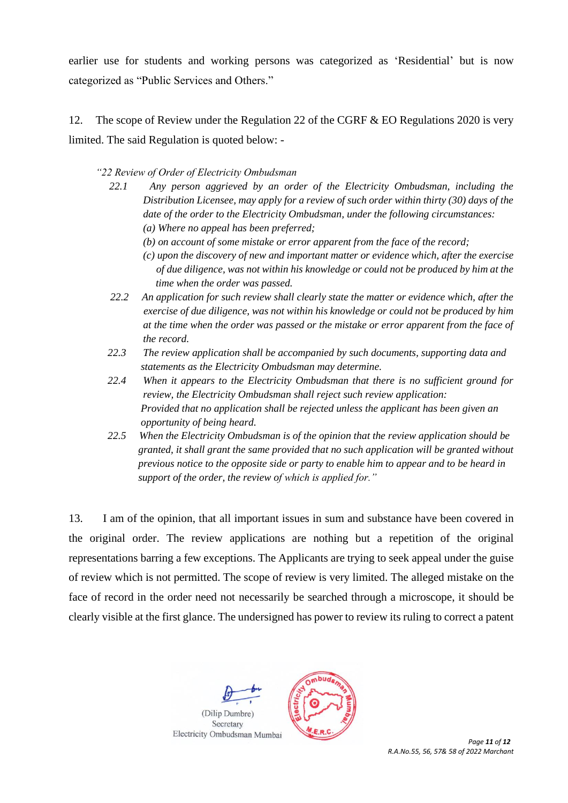earlier use for students and working persons was categorized as 'Residential' but is now categorized as "Public Services and Others."

12. The scope of Review under the Regulation 22 of the CGRF & EO Regulations 2020 is very limited. The said Regulation is quoted below: -

*"22 Review of Order of Electricity Ombudsman* 

- *22.1 Any person aggrieved by an order of the Electricity Ombudsman, including the Distribution Licensee, may apply for a review of such order within thirty (30) days of the date of the order to the Electricity Ombudsman, under the following circumstances: (a) Where no appeal has been preferred;* 
	- *(b) on account of some mistake or error apparent from the face of the record;*
	- *(c) upon the discovery of new and important matter or evidence which, after the exercise of due diligence, was not within his knowledge or could not be produced by him at the time when the order was passed.*
- *22.2 An application for such review shall clearly state the matter or evidence which, after the exercise of due diligence, was not within his knowledge or could not be produced by him at the time when the order was passed or the mistake or error apparent from the face of the record.*
- *22.3 The review application shall be accompanied by such documents, supporting data and statements as the Electricity Ombudsman may determine.*
- *22.4 When it appears to the Electricity Ombudsman that there is no sufficient ground for review, the Electricity Ombudsman shall reject such review application: Provided that no application shall be rejected unless the applicant has been given an opportunity of being heard.*
- *22.5 When the Electricity Ombudsman is of the opinion that the review application should be granted, it shall grant the same provided that no such application will be granted without previous notice to the opposite side or party to enable him to appear and to be heard in support of the order, the review of which is applied for."*

13. I am of the opinion, that all important issues in sum and substance have been covered in the original order. The review applications are nothing but a repetition of the original representations barring a few exceptions. The Applicants are trying to seek appeal under the guise of review which is not permitted. The scope of review is very limited. The alleged mistake on the face of record in the order need not necessarily be searched through a microscope, it should be clearly visible at the first glance. The undersigned has power to review its ruling to correct a patent